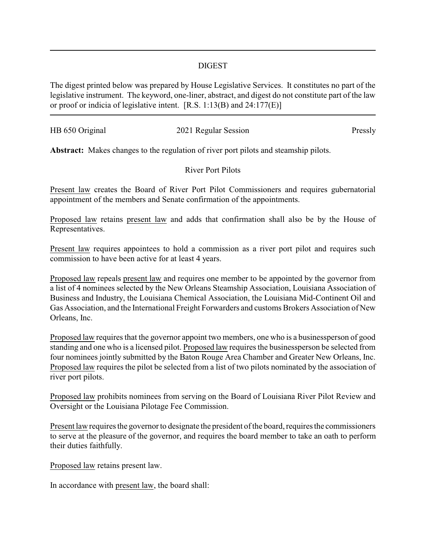## DIGEST

The digest printed below was prepared by House Legislative Services. It constitutes no part of the legislative instrument. The keyword, one-liner, abstract, and digest do not constitute part of the law or proof or indicia of legislative intent. [R.S. 1:13(B) and 24:177(E)]

| HB 650 Original | 2021 Regular Session |         |
|-----------------|----------------------|---------|
|                 |                      | Pressly |
|                 |                      |         |

**Abstract:** Makes changes to the regulation of river port pilots and steamship pilots.

## River Port Pilots

Present law creates the Board of River Port Pilot Commissioners and requires gubernatorial appointment of the members and Senate confirmation of the appointments.

Proposed law retains present law and adds that confirmation shall also be by the House of Representatives.

Present law requires appointees to hold a commission as a river port pilot and requires such commission to have been active for at least 4 years.

Proposed law repeals present law and requires one member to be appointed by the governor from a list of 4 nominees selected by the New Orleans Steamship Association, Louisiana Association of Business and Industry, the Louisiana Chemical Association, the Louisiana Mid-Continent Oil and Gas Association, and the International Freight Forwarders and customs Brokers Association of New Orleans, Inc.

Proposed law requires that the governor appoint two members, one who is a businessperson of good standing and one who is a licensed pilot. Proposed law requires the businessperson be selected from four nominees jointly submitted by the Baton Rouge Area Chamber and Greater New Orleans, Inc. Proposed law requires the pilot be selected from a list of two pilots nominated by the association of river port pilots.

Proposed law prohibits nominees from serving on the Board of Louisiana River Pilot Review and Oversight or the Louisiana Pilotage Fee Commission.

Present law requires the governor to designate the president of the board, requires the commissioners to serve at the pleasure of the governor, and requires the board member to take an oath to perform their duties faithfully.

Proposed law retains present law.

In accordance with present law, the board shall: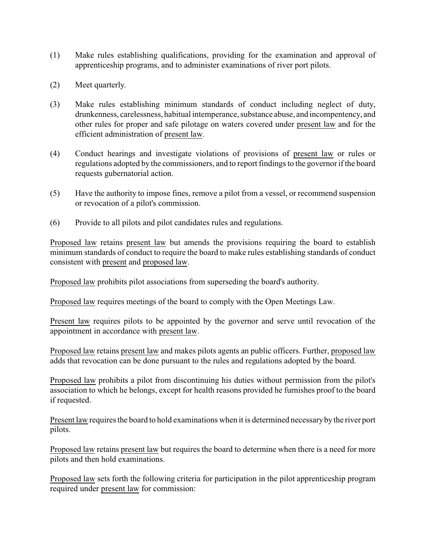- (1) Make rules establishing qualifications, providing for the examination and approval of apprenticeship programs, and to administer examinations of river port pilots.
- (2) Meet quarterly.
- (3) Make rules establishing minimum standards of conduct including neglect of duty, drunkenness, carelessness, habitual intemperance, substance abuse, and incompentency, and other rules for proper and safe pilotage on waters covered under present law and for the efficient administration of present law.
- (4) Conduct hearings and investigate violations of provisions of present law or rules or regulations adopted by the commissioners, and to report findings to the governor if the board requests gubernatorial action.
- (5) Have the authority to impose fines, remove a pilot from a vessel, or recommend suspension or revocation of a pilot's commission.
- (6) Provide to all pilots and pilot candidates rules and regulations.

Proposed law retains present law but amends the provisions requiring the board to establish minimum standards of conduct to require the board to make rules establishing standards of conduct consistent with present and proposed law.

Proposed law prohibits pilot associations from superseding the board's authority.

Proposed law requires meetings of the board to comply with the Open Meetings Law.

Present law requires pilots to be appointed by the governor and serve until revocation of the appointment in accordance with present law.

Proposed law retains present law and makes pilots agents an public officers. Further, proposed law adds that revocation can be done pursuant to the rules and regulations adopted by the board.

Proposed law prohibits a pilot from discontinuing his duties without permission from the pilot's association to which he belongs, except for health reasons provided he furnishes proof to the board if requested.

Present law requires the board to hold examinations when it is determined necessarybythe river port pilots.

Proposed law retains present law but requires the board to determine when there is a need for more pilots and then hold examinations.

Proposed law sets forth the following criteria for participation in the pilot apprenticeship program required under present law for commission: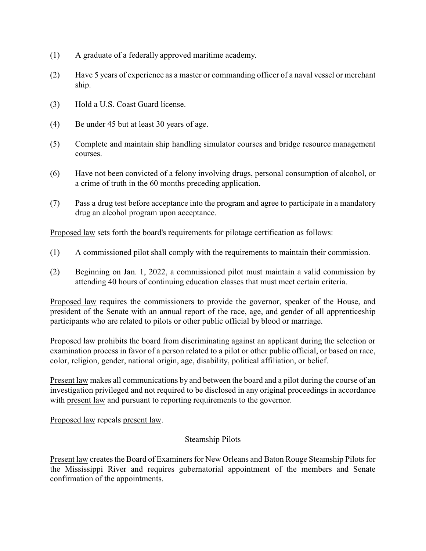- (1) A graduate of a federally approved maritime academy.
- (2) Have 5 years of experience as a master or commanding officer of a naval vessel or merchant ship.
- (3) Hold a U.S. Coast Guard license.
- (4) Be under 45 but at least 30 years of age.
- (5) Complete and maintain ship handling simulator courses and bridge resource management courses.
- (6) Have not been convicted of a felony involving drugs, personal consumption of alcohol, or a crime of truth in the 60 months preceding application.
- (7) Pass a drug test before acceptance into the program and agree to participate in a mandatory drug an alcohol program upon acceptance.

Proposed law sets forth the board's requirements for pilotage certification as follows:

- (1) A commissioned pilot shall comply with the requirements to maintain their commission.
- (2) Beginning on Jan. 1, 2022, a commissioned pilot must maintain a valid commission by attending 40 hours of continuing education classes that must meet certain criteria.

Proposed law requires the commissioners to provide the governor, speaker of the House, and president of the Senate with an annual report of the race, age, and gender of all apprenticeship participants who are related to pilots or other public official by blood or marriage.

Proposed law prohibits the board from discriminating against an applicant during the selection or examination process in favor of a person related to a pilot or other public official, or based on race, color, religion, gender, national origin, age, disability, political affiliation, or belief.

Present law makes all communications by and between the board and a pilot during the course of an investigation privileged and not required to be disclosed in any original proceedings in accordance with present law and pursuant to reporting requirements to the governor.

Proposed law repeals present law.

## Steamship Pilots

Present law creates the Board of Examiners for New Orleans and Baton Rouge Steamship Pilots for the Mississippi River and requires gubernatorial appointment of the members and Senate confirmation of the appointments.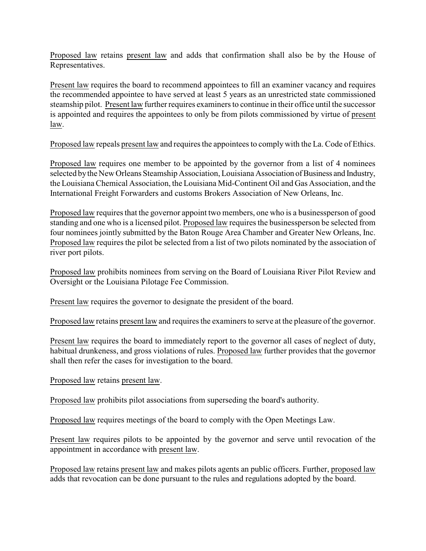Proposed law retains present law and adds that confirmation shall also be by the House of Representatives.

Present law requires the board to recommend appointees to fill an examiner vacancy and requires the recommended appointee to have served at least 5 years as an unrestricted state commissioned steamship pilot. Present law further requires examiners to continue in their office until the successor is appointed and requires the appointees to only be from pilots commissioned by virtue of present law.

Proposed law repeals present law and requires the appointees to comply with the La. Code of Ethics.

Proposed law requires one member to be appointed by the governor from a list of 4 nominees selected by the New Orleans Steamship Association, Louisiana Association of Business and Industry, the Louisiana Chemical Association, the Louisiana Mid-Continent Oil and Gas Association, and the International Freight Forwarders and customs Brokers Association of New Orleans, Inc.

Proposed law requires that the governor appoint two members, one who is a businessperson of good standing and one who is a licensed pilot. Proposed law requires the businessperson be selected from four nominees jointly submitted by the Baton Rouge Area Chamber and Greater New Orleans, Inc. Proposed law requires the pilot be selected from a list of two pilots nominated by the association of river port pilots.

Proposed law prohibits nominees from serving on the Board of Louisiana River Pilot Review and Oversight or the Louisiana Pilotage Fee Commission.

Present law requires the governor to designate the president of the board.

Proposed law retains present law and requires the examiners to serve at the pleasure of the governor.

Present law requires the board to immediately report to the governor all cases of neglect of duty, habitual drunkeness, and gross violations of rules. Proposed law further provides that the governor shall then refer the cases for investigation to the board.

Proposed law retains present law.

Proposed law prohibits pilot associations from superseding the board's authority.

Proposed law requires meetings of the board to comply with the Open Meetings Law.

Present law requires pilots to be appointed by the governor and serve until revocation of the appointment in accordance with present law.

Proposed law retains present law and makes pilots agents an public officers. Further, proposed law adds that revocation can be done pursuant to the rules and regulations adopted by the board.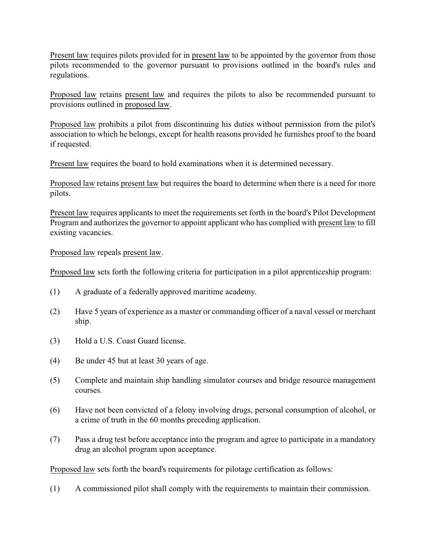Present law requires pilots provided for in present law to be appointed by the governor from those pilots recommended to the governor pursuant to provisions outlined in the board's rules and regulations.

Proposed law retains present law and requires the pilots to also be recommended pursuant to provisions outlined in proposed law.

Proposed law prohibits a pilot from discontinuing his duties without permission from the pilot's association to which he belongs, except for health reasons provided he furnishes proof to the board if requested.

Present law requires the board to hold examinations when it is determined necessary.

Proposed law retains present law but requires the board to determine when there is a need for more pilots.

Present law requires applicants to meet the requirements set forth in the board's Pilot Development Program and authorizes the governor to appoint applicant who has complied with present law to fill existing vacancies.

Proposed law repeals present law.

Proposed law sets forth the following criteria for participation in a pilot apprenticeship program:

- (1) A graduate of a federally approved maritime academy.
- (2) Have 5 years of experience as a master or commanding officer of a naval vessel or merchant ship.
- (3) Hold a U.S. Coast Guard license.
- (4) Be under 45 but at least 30 years of age.
- (5) Complete and maintain ship handling simulator courses and bridge resource management courses.
- (6) Have not been convicted of a felony involving drugs, personal consumption of alcohol, or a crime of truth in the 60 months preceding application.
- (7) Pass a drug test before acceptance into the program and agree to participate in a mandatory drug an alcohol program upon acceptance.

Proposed law sets forth the board's requirements for pilotage certification as follows:

(1) A commissioned pilot shall comply with the requirements to maintain their commission.